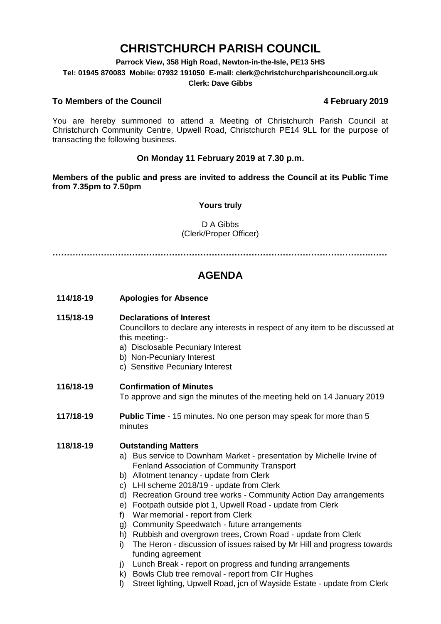# **CHRISTCHURCH PARISH COUNCIL**

**Parrock View, 358 High Road, Newton-in-the-Isle, PE13 5HS**

**Tel: 01945 870083 Mobile: 07932 191050 E-mail: clerk@christchurchparishcouncil.org.uk**

### **Clerk: Dave Gibbs**

## **To Members of the Council 4 February 2019**

You are hereby summoned to attend a Meeting of Christchurch Parish Council at Christchurch Community Centre, Upwell Road, Christchurch PE14 9LL for the purpose of transacting the following business.

## **On Monday 11 February 2019 at 7.30 p.m.**

**Members of the public and press are invited to address the Council at its Public Time from 7.35pm to 7.50pm**

## **Yours truly**

## D A Gibbs (Clerk/Proper Officer)

**………………………………………………………………………………………………….……**

## **AGENDA**

**114/18-19 Apologies for Absence**

### **115/18-19 Declarations of Interest**

Councillors to declare any interests in respect of any item to be discussed at this meeting:-

- a) Disclosable Pecuniary Interest
- b) Non-Pecuniary Interest
- c) Sensitive Pecuniary Interest

## **116/18-19 Confirmation of Minutes**

To approve and sign the minutes of the meeting held on 14 January 2019

**117/18-19 Public Time** - 15 minutes. No one person may speak for more than 5 minutes

## **118/18-19 Outstanding Matters**

- a) Bus service to Downham Market presentation by Michelle Irvine of Fenland Association of Community Transport
- b) Allotment tenancy update from Clerk
- c) LHI scheme 2018/19 update from Clerk
- d) Recreation Ground tree works Community Action Day arrangements
- e) Footpath outside plot 1, Upwell Road update from Clerk
- f) War memorial report from Clerk
- g) Community Speedwatch future arrangements
- h) Rubbish and overgrown trees, Crown Road update from Clerk
- i) The Heron discussion of issues raised by Mr Hill and progress towards funding agreement
- j) Lunch Break report on progress and funding arrangements
- k) Bowls Club tree removal report from Cllr Hughes
- l) Street lighting, Upwell Road, jcn of Wayside Estate update from Clerk